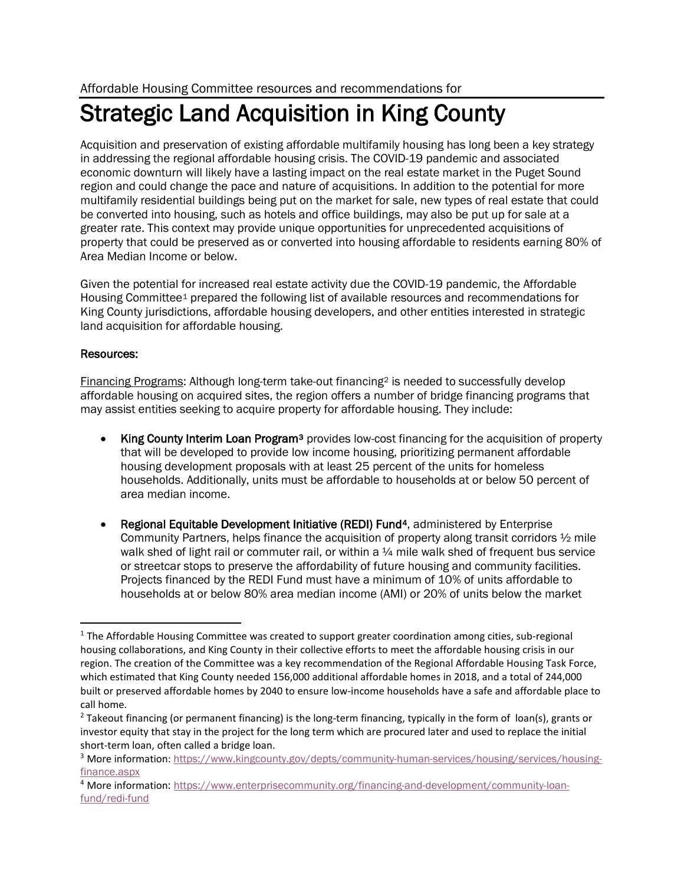## Strategic Land Acquisition in King County

Acquisition and preservation of existing affordable multifamily housing has long been a key strategy in addressing the regional affordable housing crisis. The COVID-19 pandemic and associated economic downturn will likely have a lasting impact on the real estate market in the Puget Sound region and could change the pace and nature of acquisitions. In addition to the potential for more multifamily residential buildings being put on the market for sale, new types of real estate that could be converted into housing, such as hotels and office buildings, may also be put up for sale at a greater rate. This context may provide unique opportunities for unprecedented acquisitions of property that could be preserved as or converted into housing affordable to residents earning 80% of Area Median Income or below.

Given the potential for increased real estate activity due the COVID-19 pandemic, the Affordable Housing Committee[1](#page-0-0) prepared the following list of available resources and recommendations for King County jurisdictions, affordable housing developers, and other entities interested in strategic land acquisition for affordable housing.

## Resources:

Financing Programs: Although long-term take-out financing[2](#page-0-1) is needed to successfully develop affordable housing on acquired sites, the region offers a number of bridge financing programs that may assist entities seeking to acquire property for affordable housing. They include:

- King County Interim Loan Program<sup>[3](#page-0-2)</sup> provides low-cost financing for the acquisition of property that will be developed to provide low income housing, prioritizing permanent affordable housing development proposals with at least 25 percent of the units for homeless households. Additionally, units must be affordable to households at or below 50 percent of area median income.
- Regional Equitable Development Initiative (REDI) Fund<sup>[4](#page-0-3)</sup>, administered by Enterprise Community Partners, helps finance the acquisition of property along transit corridors  $\frac{1}{2}$  mile walk shed of light rail or commuter rail, or within a  $\frac{1}{4}$  mile walk shed of frequent bus service or streetcar stops to preserve the affordability of future housing and community facilities. Projects financed by the REDI Fund must have a minimum of 10% of units affordable to households at or below 80% area median income (AMI) or 20% of units below the market

<span id="page-0-0"></span><sup>&</sup>lt;sup>1</sup> The Affordable Housing Committee was created to support greater coordination among cities, sub-regional housing collaborations, and King County in their collective efforts to meet the affordable housing crisis in our region. The creation of the Committee was a key recommendation of the Regional Affordable Housing Task Force, which estimated that King County needed 156,000 additional affordable homes in 2018, and a total of 244,000 built or preserved affordable homes by 2040 to ensure low-income households have a safe and affordable place to call home.

<span id="page-0-1"></span><sup>&</sup>lt;sup>2</sup> Takeout financing (or permanent financing) is the long-term financing, typically in the form of loan(s), grants or investor equity that stay in the project for the long term which are procured later and used to replace the initial short-term loan, often called a bridge loan.

<span id="page-0-2"></span><sup>&</sup>lt;sup>3</sup> More information: [https://www.kingcounty.gov/depts/community-human-services/housing/services/housing](https://www.kingcounty.gov/depts/community-human-services/housing/services/housing-finance.aspx)[finance.aspx](https://www.kingcounty.gov/depts/community-human-services/housing/services/housing-finance.aspx)

<span id="page-0-3"></span><sup>4</sup> More information: [https://www.enterprisecommunity.org/financing-and-development/community-loan](https://www.enterprisecommunity.org/financing-and-development/community-loan-fund/redi-fund)[fund/redi-fund](https://www.enterprisecommunity.org/financing-and-development/community-loan-fund/redi-fund)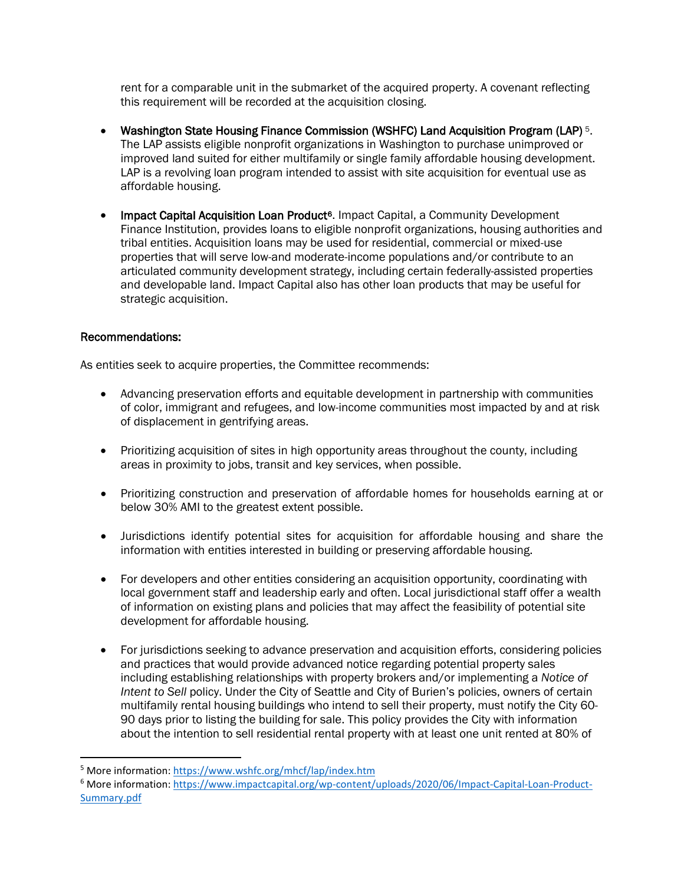rent for a comparable unit in the submarket of the acquired property. A covenant reflecting this requirement will be recorded at the acquisition closing.

- Washington State Housing Finance Commission (WSHFC) Land Acquisition Program (LAP) [5](#page-1-0). The LAP assists eligible nonprofit organizations in Washington to purchase unimproved or improved land suited for either multifamily or single family affordable housing development. LAP is a revolving loan program intended to assist with site acquisition for eventual use as affordable housing.
- Impact Capital Acquisition Loan Product<sup>[6](#page-1-1)</sup>. Impact Capital, a Community Development Finance Institution, provides loans to eligible nonprofit organizations, housing authorities and tribal entities. Acquisition loans may be used for residential, commercial or mixed-use properties that will serve low-and moderate-income populations and/or contribute to an articulated community development strategy, including certain federally-assisted properties and developable land. Impact Capital also has other loan products that may be useful for strategic acquisition.

## Recommendations:

As entities seek to acquire properties, the Committee recommends:

- Advancing preservation efforts and equitable development in partnership with communities of color, immigrant and refugees, and low-income communities most impacted by and at risk of displacement in gentrifying areas.
- Prioritizing acquisition of sites in high opportunity areas throughout the county, including areas in proximity to jobs, transit and key services, when possible.
- Prioritizing construction and preservation of affordable homes for households earning at or below 30% AMI to the greatest extent possible.
- Jurisdictions identify potential sites for acquisition for affordable housing and share the information with entities interested in building or preserving affordable housing.
- For developers and other entities considering an acquisition opportunity, coordinating with local government staff and leadership early and often. Local jurisdictional staff offer a wealth of information on existing plans and policies that may affect the feasibility of potential site development for affordable housing.
- For jurisdictions seeking to advance preservation and acquisition efforts, considering policies and practices that would provide advanced notice regarding potential property sales including establishing relationships with property brokers and/or implementing a *Notice of Intent to Sell* policy. Under the City of Seattle and City of Burien's policies, owners of certain multifamily rental housing buildings who intend to sell their property, must notify the City 60- 90 days prior to listing the building for sale. This policy provides the City with information about the intention to sell residential rental property with at least one unit rented at 80% of

<span id="page-1-0"></span><sup>5</sup> More information:<https://www.wshfc.org/mhcf/lap/index.htm>

<span id="page-1-1"></span><sup>6</sup> More information: [https://www.impactcapital.org/wp-content/uploads/2020/06/Impact-Capital-Loan-Product-](https://www.impactcapital.org/wp-content/uploads/2020/06/Impact-Capital-Loan-Product-Summary.pdf)[Summary.pdf](https://www.impactcapital.org/wp-content/uploads/2020/06/Impact-Capital-Loan-Product-Summary.pdf)